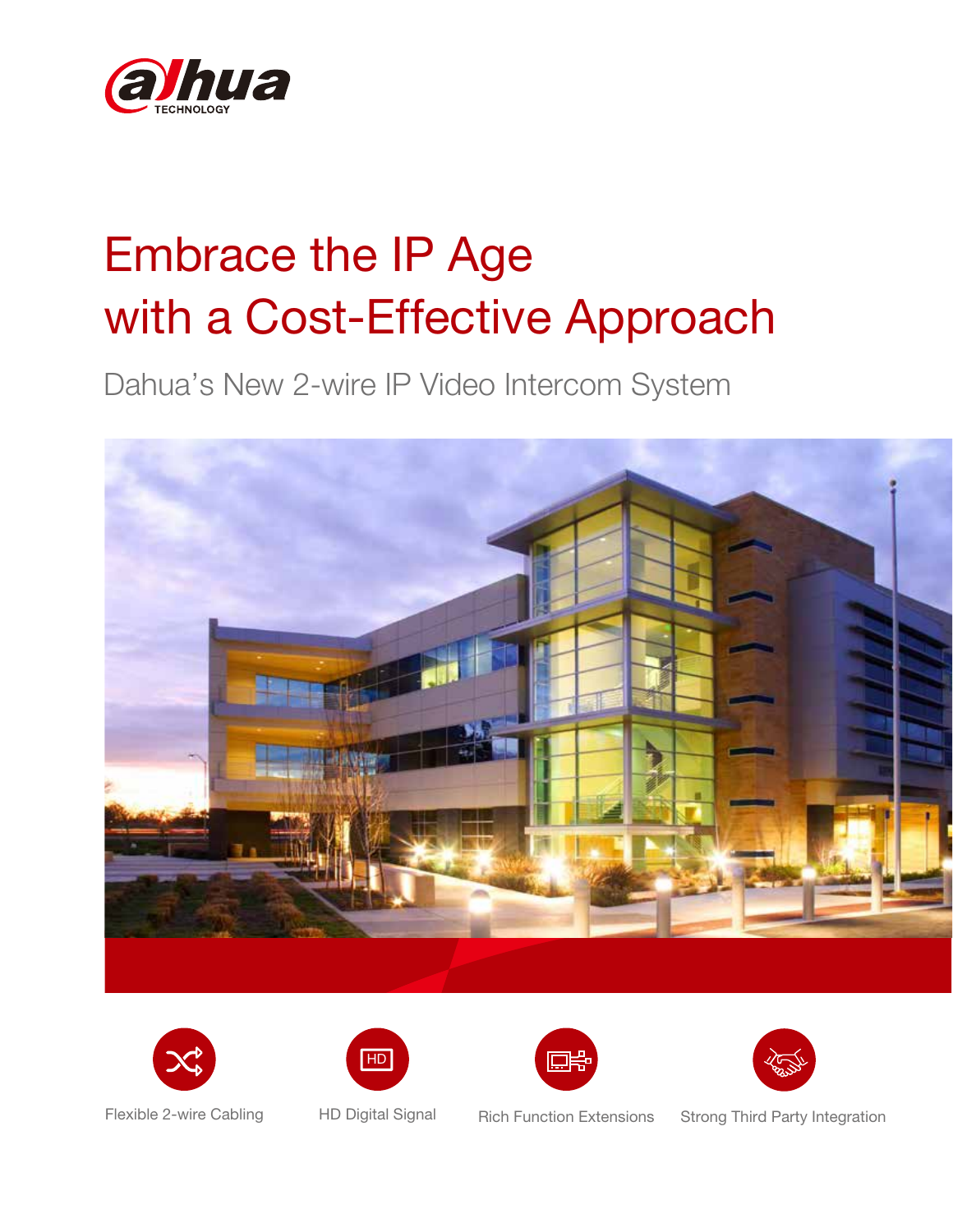

# Embrace the IP Age with a Cost-Effective Approach

Dahua's New 2-wire IP Video Intercom System











Flexible 2-wire Cabling HD Digital Signal Rich Function Extensions Strong Third Party Integration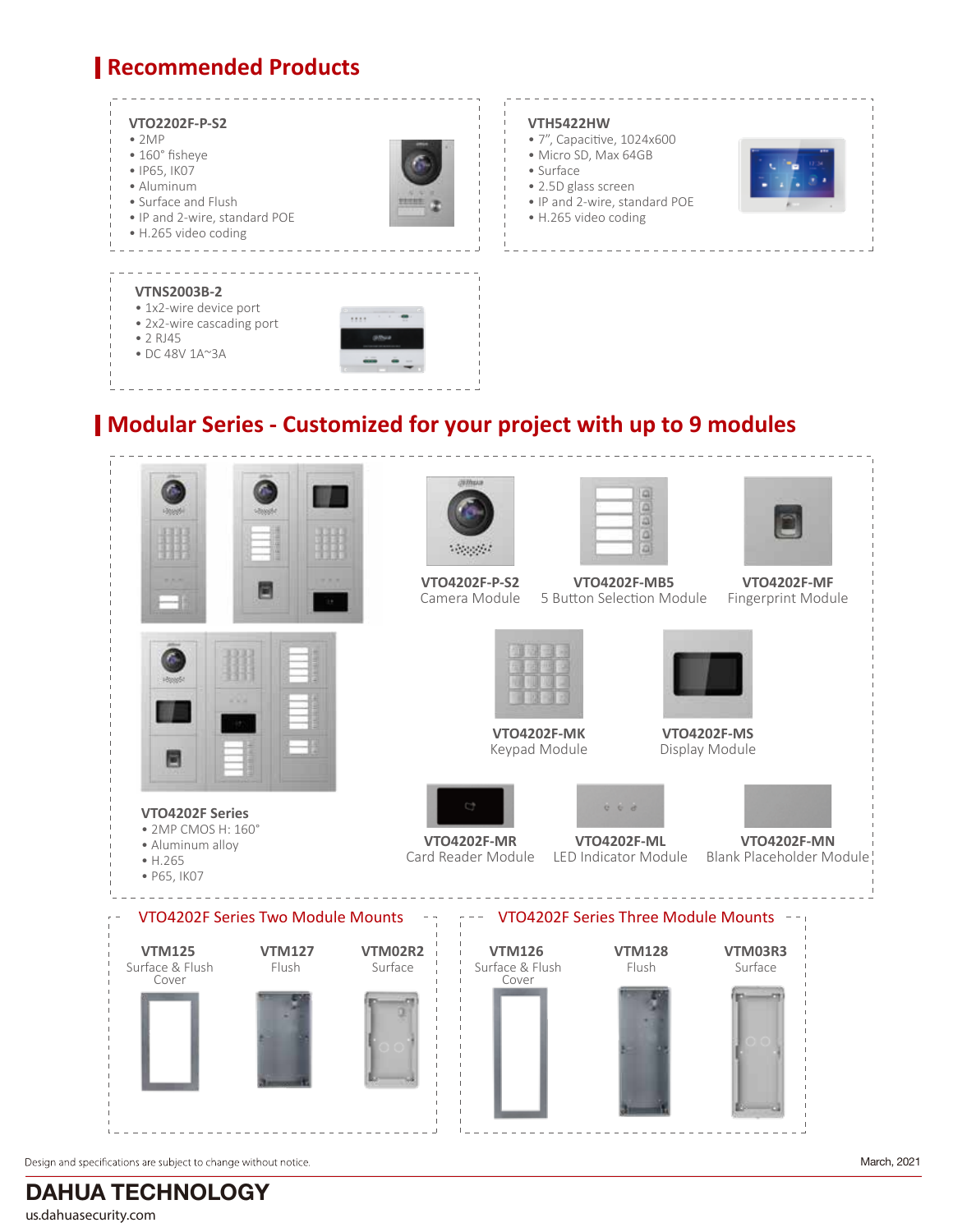# **Recommended Products**



### **Modular Series - Customized for your project with up to 9 modules**



Design and specifications are subject to change without notice.

March, 2021

DAHUA TECHNOLOGY us.dahuasecurity.com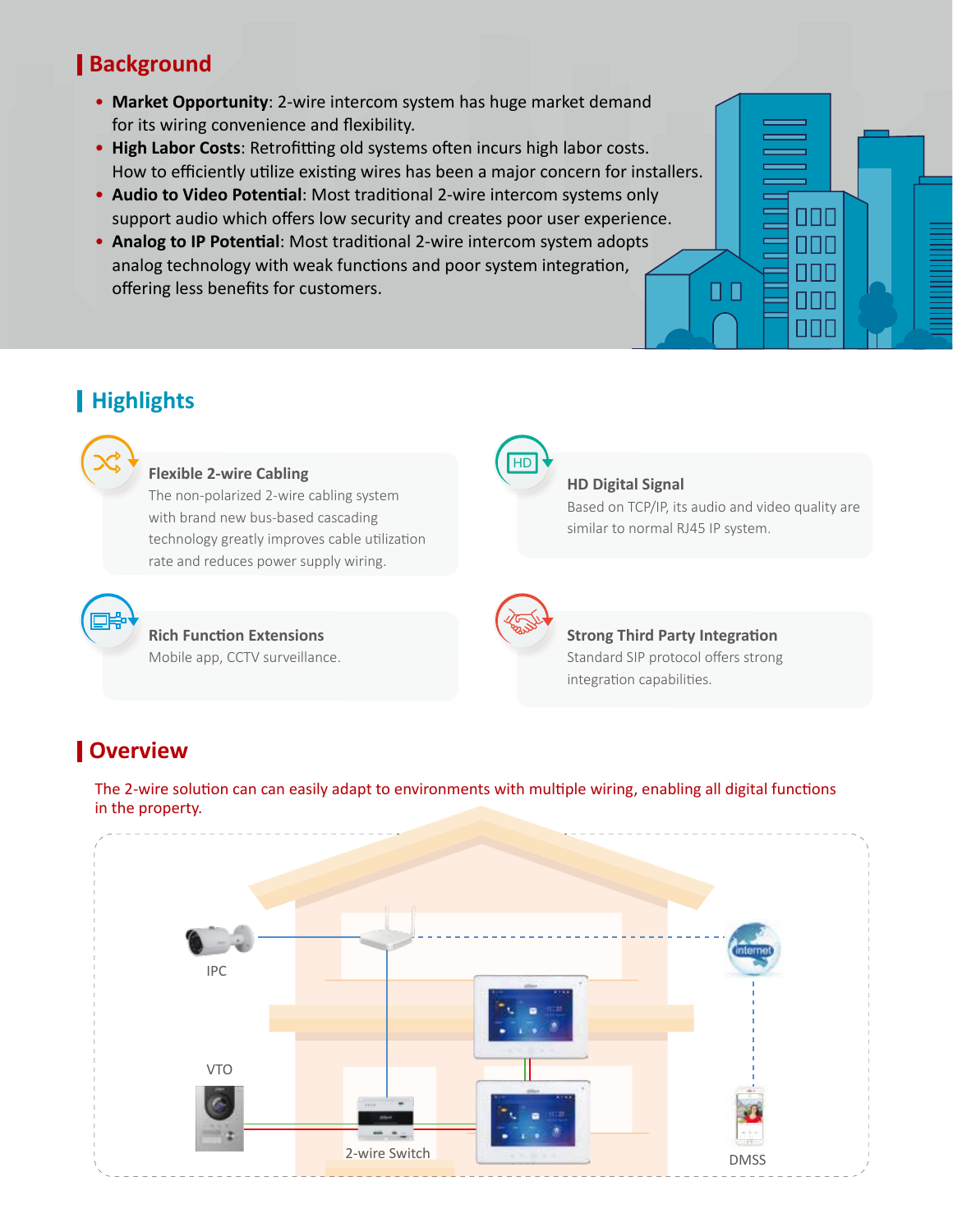# **Background**

- **Market Opportunity**: 2-wire intercom system has huge market demand for its wiring convenience and flexibility.
- High Labor Costs: Retrofitting old systems often incurs high labor costs. How to efficiently utilize existing wires has been a major concern for installers.
- Audio to Video Potential: Most traditional 2-wire intercom systems only support audio which offers low security and creates poor user experience.
- Analog to IP Potential: Most traditional 2-wire intercom system adopts analog technology with weak functions and poor system integration, offering less benefits for customers.

# **Highlights**



#### **Flexible 2-wire Cabling**

**Rich Function Extensions** Mobile app, CCTV surveillance.

The non-polarized 2-wire cabling system with brand new bus-based cascading technology greatly improves cable utilization rate and reduces power supply wiring.



#### **HD Digital Signal**

Based on TCP/IP, its audio and video quality are similar to normal RJ45 IP system.

0 O

SISIE FITIF NNI

П NNI



HD

# **Strong Third Party Integration**

Standard SIP protocol offers strong integration capabilities.

# **Overview**

The 2-wire solution can can easily adapt to environments with multiple wiring, enabling all digital functions in the property.